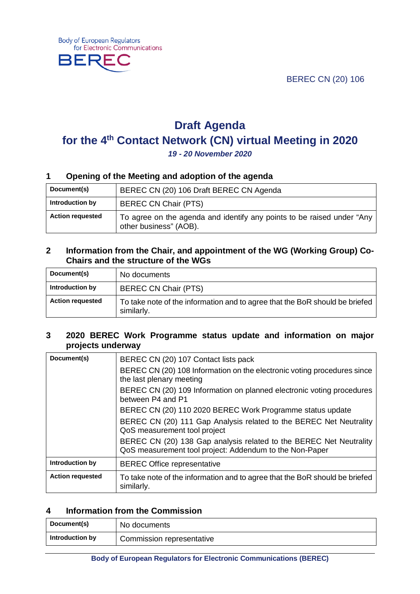BEREC CN (20) 106



# **Draft Agenda for the 4th Contact Network (CN) virtual Meeting in 2020** *19 - 20 November 2020*

# **1 Opening of the Meeting and adoption of the agenda**

| Document(s)             | BEREC CN (20) 106 Draft BEREC CN Agenda                                                          |
|-------------------------|--------------------------------------------------------------------------------------------------|
| Introduction by         | <b>BEREC CN Chair (PTS)</b>                                                                      |
| <b>Action requested</b> | To agree on the agenda and identify any points to be raised under "Any<br>other business" (AOB). |

### **2 Information from the Chair, and appointment of the WG (Working Group) Co-Chairs and the structure of the WGs**

| Document(s)             | No documents                                                                              |
|-------------------------|-------------------------------------------------------------------------------------------|
| Introduction by         | <b>BEREC CN Chair (PTS)</b>                                                               |
| <b>Action requested</b> | To take note of the information and to agree that the BoR should be briefed<br>similarly. |

## **3 2020 BEREC Work Programme status update and information on major projects underway**

| Document(s)             | BEREC CN (20) 107 Contact lists pack                                                                                          |
|-------------------------|-------------------------------------------------------------------------------------------------------------------------------|
|                         | BEREC CN (20) 108 Information on the electronic voting procedures since<br>the last plenary meeting                           |
|                         | BEREC CN (20) 109 Information on planned electronic voting procedures<br>between P4 and P1                                    |
|                         | BEREC CN (20) 110 2020 BEREC Work Programme status update                                                                     |
|                         | BEREC CN (20) 111 Gap Analysis related to the BEREC Net Neutrality<br>QoS measurement tool project                            |
|                         | BEREC CN (20) 138 Gap analysis related to the BEREC Net Neutrality<br>QoS measurement tool project: Addendum to the Non-Paper |
| Introduction by         | <b>BEREC Office representative</b>                                                                                            |
| <b>Action requested</b> | To take note of the information and to agree that the BoR should be briefed<br>similarly.                                     |

### **4 Information from the Commission**

| Document(s)     | No documents              |
|-----------------|---------------------------|
| Introduction by | Commission representative |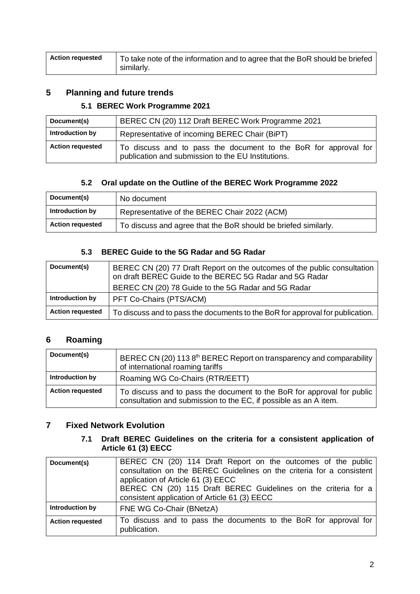| Action requested | To take note of the information and to agree that the BoR should be briefed |
|------------------|-----------------------------------------------------------------------------|
|                  | similarly.                                                                  |

# **5 Planning and future trends**

#### **5.1 BEREC Work Programme 2021**

| Document(s)             | BEREC CN (20) 112 Draft BEREC Work Programme 2021                                                                     |
|-------------------------|-----------------------------------------------------------------------------------------------------------------------|
| Introduction by         | Representative of incoming BEREC Chair (BiPT)                                                                         |
| <b>Action requested</b> | To discuss and to pass the document to the BoR for approval for<br>publication and submission to the EU Institutions. |

# **5.2 Oral update on the Outline of the BEREC Work Programme 2022**

| Document(s)             | No document                                                    |
|-------------------------|----------------------------------------------------------------|
| Introduction by         | Representative of the BEREC Chair 2022 (ACM)                   |
| <b>Action requested</b> | To discuss and agree that the BoR should be briefed similarly. |

# **5.3 BEREC Guide to the 5G Radar and 5G Radar**

| Document(s)             | BEREC CN (20) 77 Draft Report on the outcomes of the public consultation<br>on draft BEREC Guide to the BEREC 5G Radar and 5G Radar<br>BEREC CN (20) 78 Guide to the 5G Radar and 5G Radar |
|-------------------------|--------------------------------------------------------------------------------------------------------------------------------------------------------------------------------------------|
| Introduction by         | PFT Co-Chairs (PTS/ACM)                                                                                                                                                                    |
| <b>Action requested</b> | To discuss and to pass the documents to the BoR for approval for publication.                                                                                                              |

# **6 Roaming**

| Document(s)             | BEREC CN (20) 113 8 <sup>th</sup> BEREC Report on transparency and comparability<br>of international roaming tariffs                       |
|-------------------------|--------------------------------------------------------------------------------------------------------------------------------------------|
| Introduction by         | Roaming WG Co-Chairs (RTR/EETT)                                                                                                            |
| <b>Action requested</b> | To discuss and to pass the document to the BoR for approval for public<br>consultation and submission to the EC, if possible as an A item. |

### **7 Fixed Network Evolution**

#### **7.1 Draft BEREC Guidelines on the criteria for a consistent application of Article 61 (3) EECC**

| Document(s)             | BEREC CN (20) 114 Draft Report on the outcomes of the public<br>consultation on the BEREC Guidelines on the criteria for a consistent<br>application of Article 61 (3) EECC<br>BEREC CN (20) 115 Draft BEREC Guidelines on the criteria for a<br>consistent application of Article 61 (3) EECC |
|-------------------------|------------------------------------------------------------------------------------------------------------------------------------------------------------------------------------------------------------------------------------------------------------------------------------------------|
| Introduction by         | FNE WG Co-Chair (BNetzA)                                                                                                                                                                                                                                                                       |
| <b>Action requested</b> | To discuss and to pass the documents to the BoR for approval for<br>publication.                                                                                                                                                                                                               |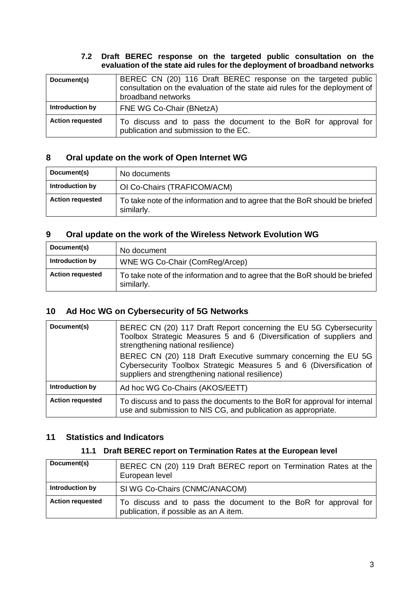#### **7.2 Draft BEREC response on the targeted public consultation on the evaluation of the state aid rules for the deployment of broadband networks**

| Document(s)             | BEREC CN (20) 116 Draft BEREC response on the targeted public<br>consultation on the evaluation of the state aid rules for the deployment of<br>broadband networks |
|-------------------------|--------------------------------------------------------------------------------------------------------------------------------------------------------------------|
| Introduction by         | FNE WG Co-Chair (BNetzA)                                                                                                                                           |
| <b>Action requested</b> | To discuss and to pass the document to the BoR for approval for<br>publication and submission to the EC.                                                           |

# **8 Oral update on the work of Open Internet WG**

| Document(s)             | No documents                                                                              |
|-------------------------|-------------------------------------------------------------------------------------------|
| Introduction by         | OI Co-Chairs (TRAFICOM/ACM)                                                               |
| <b>Action requested</b> | To take note of the information and to agree that the BoR should be briefed<br>similarly. |

# **9 Oral update on the work of the Wireless Network Evolution WG**

| Document(s)             | No document                                                                               |
|-------------------------|-------------------------------------------------------------------------------------------|
| Introduction by         | WNE WG Co-Chair (ComReg/Arcep)                                                            |
| <b>Action requested</b> | To take note of the information and to agree that the BoR should be briefed<br>similarly. |

# **10 Ad Hoc WG on Cybersecurity of 5G Networks**

| Document(s)             | BEREC CN (20) 117 Draft Report concerning the EU 5G Cybersecurity<br>Toolbox Strategic Measures 5 and 6 (Diversification of suppliers and<br>strengthening national resilience)<br>BEREC CN (20) 118 Draft Executive summary concerning the EU 5G<br>Cybersecurity Toolbox Strategic Measures 5 and 6 (Diversification of<br>suppliers and strengthening national resilience) |
|-------------------------|-------------------------------------------------------------------------------------------------------------------------------------------------------------------------------------------------------------------------------------------------------------------------------------------------------------------------------------------------------------------------------|
| Introduction by         | Ad hoc WG Co-Chairs (AKOS/EETT)                                                                                                                                                                                                                                                                                                                                               |
| <b>Action requested</b> | To discuss and to pass the documents to the BoR for approval for internal<br>use and submission to NIS CG, and publication as appropriate.                                                                                                                                                                                                                                    |

# **11 Statistics and Indicators**

#### **11.1 Draft BEREC report on Termination Rates at the European level**

| Document(s)             | BEREC CN (20) 119 Draft BEREC report on Termination Rates at the<br>European level                        |
|-------------------------|-----------------------------------------------------------------------------------------------------------|
| Introduction by         | SI WG Co-Chairs (CNMC/ANACOM)                                                                             |
| <b>Action requested</b> | To discuss and to pass the document to the BoR for approval for<br>publication, if possible as an A item. |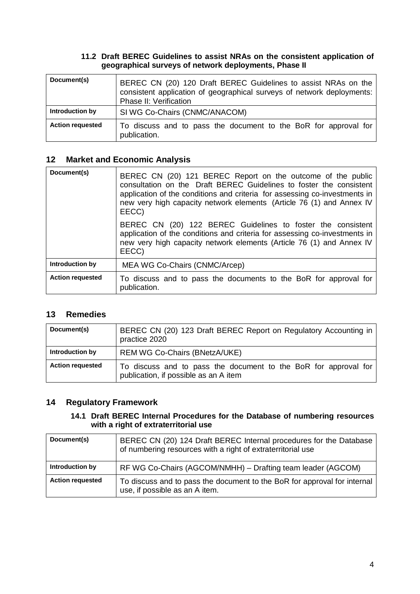#### **11.2 Draft BEREC Guidelines to assist NRAs on the consistent application of geographical surveys of network deployments, Phase II**

| Document(s)             | BEREC CN (20) 120 Draft BEREC Guidelines to assist NRAs on the<br>consistent application of geographical surveys of network deployments:<br>Phase II: Verification |
|-------------------------|--------------------------------------------------------------------------------------------------------------------------------------------------------------------|
| Introduction by         | SI WG Co-Chairs (CNMC/ANACOM)                                                                                                                                      |
| <b>Action requested</b> | To discuss and to pass the document to the BoR for approval for<br>publication.                                                                                    |

# **12 Market and Economic Analysis**

| Document(s)             | BEREC CN (20) 121 BEREC Report on the outcome of the public<br>consultation on the Draft BEREC Guidelines to foster the consistent<br>application of the conditions and criteria for assessing co-investments in<br>new very high capacity network elements (Article 76 (1) and Annex IV<br>EECC) |
|-------------------------|---------------------------------------------------------------------------------------------------------------------------------------------------------------------------------------------------------------------------------------------------------------------------------------------------|
|                         | BEREC CN (20) 122 BEREC Guidelines to foster the consistent<br>application of the conditions and criteria for assessing co-investments in<br>new very high capacity network elements (Article 76 (1) and Annex IV<br>EECC)                                                                        |
| Introduction by         | MEA WG Co-Chairs (CNMC/Arcep)                                                                                                                                                                                                                                                                     |
| <b>Action requested</b> | To discuss and to pass the documents to the BoR for approval for<br>publication.                                                                                                                                                                                                                  |

# **13 Remedies**

| Document(s)             | BEREC CN (20) 123 Draft BEREC Report on Regulatory Accounting in<br>practice 2020                        |
|-------------------------|----------------------------------------------------------------------------------------------------------|
| Introduction by         | <b>REM WG Co-Chairs (BNetzA/UKE)</b>                                                                     |
| <b>Action requested</b> | To discuss and to pass the document to the BoR for approval for<br>publication, if possible as an A item |

# **14 Regulatory Framework**

### **14.1 Draft BEREC Internal Procedures for the Database of numbering resources with a right of extraterritorial use**

| Document(s)             | BEREC CN (20) 124 Draft BEREC Internal procedures for the Database<br>of numbering resources with a right of extraterritorial use |
|-------------------------|-----------------------------------------------------------------------------------------------------------------------------------|
| Introduction by         | RF WG Co-Chairs (AGCOM/NMHH) – Drafting team leader (AGCOM)                                                                       |
| <b>Action requested</b> | To discuss and to pass the document to the BoR for approval for internal<br>use, if possible as an A item.                        |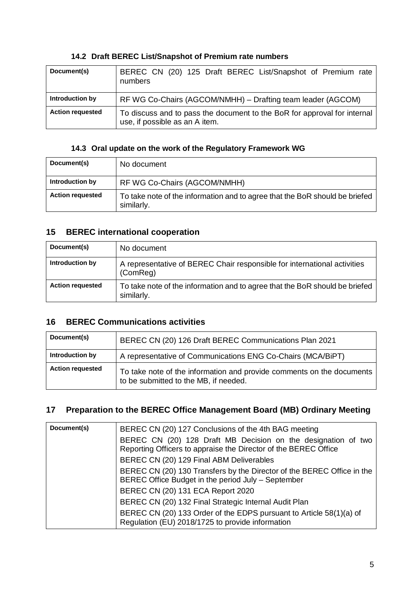## **14.2 Draft BEREC List/Snapshot of Premium rate numbers**

| Document(s)             | BEREC CN (20) 125 Draft BEREC List/Snapshot of Premium rate<br>numbers                                     |
|-------------------------|------------------------------------------------------------------------------------------------------------|
| Introduction by         | RF WG Co-Chairs (AGCOM/NMHH) – Drafting team leader (AGCOM)                                                |
| <b>Action requested</b> | To discuss and to pass the document to the BoR for approval for internal<br>use, if possible as an A item. |

# **14.3 Oral update on the work of the Regulatory Framework WG**

| Document(s)             | No document                                                                               |
|-------------------------|-------------------------------------------------------------------------------------------|
| Introduction by         | RF WG Co-Chairs (AGCOM/NMHH)                                                              |
| <b>Action requested</b> | To take note of the information and to agree that the BoR should be briefed<br>similarly. |

# **15 BEREC international cooperation**

| Document(s)             | No document                                                                               |
|-------------------------|-------------------------------------------------------------------------------------------|
| Introduction by         | A representative of BEREC Chair responsible for international activities<br>(ComReg)      |
| <b>Action requested</b> | To take note of the information and to agree that the BoR should be briefed<br>similarly. |

# **16 BEREC Communications activities**

| Document(s)             | BEREC CN (20) 126 Draft BEREC Communications Plan 2021                                                         |
|-------------------------|----------------------------------------------------------------------------------------------------------------|
| Introduction by         | A representative of Communications ENG Co-Chairs (MCA/BiPT)                                                    |
| <b>Action requested</b> | To take note of the information and provide comments on the documents<br>to be submitted to the MB, if needed. |

# **17 Preparation to the BEREC Office Management Board (MB) Ordinary Meeting**

| Document(s) | BEREC CN (20) 127 Conclusions of the 4th BAG meeting                                                                             |
|-------------|----------------------------------------------------------------------------------------------------------------------------------|
|             | BEREC CN (20) 128 Draft MB Decision on the designation of two<br>Reporting Officers to appraise the Director of the BEREC Office |
|             | BEREC CN (20) 129 Final ABM Deliverables                                                                                         |
|             | BEREC CN (20) 130 Transfers by the Director of the BEREC Office in the<br>BEREC Office Budget in the period July - September     |
|             | BEREC CN (20) 131 ECA Report 2020                                                                                                |
|             | BEREC CN (20) 132 Final Strategic Internal Audit Plan                                                                            |
|             | BEREC CN (20) 133 Order of the EDPS pursuant to Article 58(1)(a) of<br>Regulation (EU) 2018/1725 to provide information          |